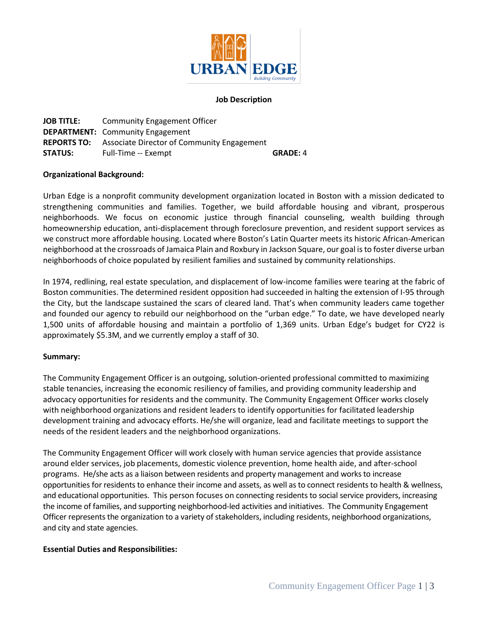

### **Job Description**

**JOB TITLE:** Community Engagement Officer **DEPARTMENT:** Community Engagement **REPORTS TO:** Associate Director of Community Engagement **STATUS:** Full-Time -- Exempt **GRADE: 4** 

#### **Organizational Background:**

Urban Edge is a nonprofit community development organization located in Boston with a mission dedicated to strengthening communities and families. Together, we build affordable housing and vibrant, prosperous neighborhoods. We focus on economic justice through financial counseling, wealth building through homeownership education, anti-displacement through foreclosure prevention, and resident support services as we construct more affordable housing. Located where Boston's Latin Quarter meets its historic African-American neighborhood at the crossroads of Jamaica Plain and Roxbury in Jackson Square, our goal is to foster diverse urban neighborhoods of choice populated by resilient families and sustained by community relationships.

In 1974, redlining, real estate speculation, and displacement of low-income families were tearing at the fabric of Boston communities. The determined resident opposition had succeeded in halting the extension of I-95 through the City, but the landscape sustained the scars of cleared land. That's when community leaders came together and founded our agency to rebuild our neighborhood on the "urban edge." To date, we have developed nearly 1,500 units of affordable housing and maintain a portfolio of 1,369 units. Urban Edge's budget for CY22 is approximately \$5.3M, and we currently employ a staff of 30.

### **Summary:**

The Community Engagement Officer is an outgoing, solution-oriented professional committed to maximizing stable tenancies, increasing the economic resiliency of families, and providing community leadership and advocacy opportunities for residents and the community. The Community Engagement Officer works closely with neighborhood organizations and resident leaders to identify opportunities for facilitated leadership development training and advocacy efforts. He/she will organize, lead and facilitate meetings to support the needs of the resident leaders and the neighborhood organizations.

The Community Engagement Officer will work closely with human service agencies that provide assistance around elder services, job placements, domestic violence prevention, home health aide, and after-school programs. He/she acts as a liaison between residents and property management and works to increase opportunities for residents to enhance their income and assets, as well as to connect residents to health & wellness, and educational opportunities. This person focuses on connecting residents to social service providers, increasing the income of families, and supporting neighborhood-led activities and initiatives. The Community Engagement Officer represents the organization to a variety of stakeholders, including residents, neighborhood organizations, and city and state agencies.

### **Essential Duties and Responsibilities:**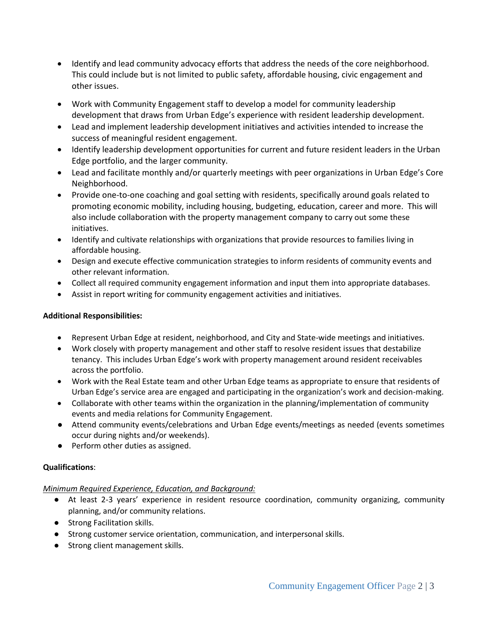- Identify and lead community advocacy efforts that address the needs of the core neighborhood. This could include but is not limited to public safety, affordable housing, civic engagement and other issues.
- Work with Community Engagement staff to develop a model for community leadership development that draws from Urban Edge's experience with resident leadership development.
- Lead and implement leadership development initiatives and activities intended to increase the success of meaningful resident engagement.
- Identify leadership development opportunities for current and future resident leaders in the Urban Edge portfolio, and the larger community.
- Lead and facilitate monthly and/or quarterly meetings with peer organizations in Urban Edge's Core Neighborhood.
- Provide one-to-one coaching and goal setting with residents, specifically around goals related to promoting economic mobility, including housing, budgeting, education, career and more. This will also include collaboration with the property management company to carry out some these initiatives.
- Identify and cultivate relationships with organizations that provide resources to families living in affordable housing.
- Design and execute effective communication strategies to inform residents of community events and other relevant information.
- Collect all required community engagement information and input them into appropriate databases.
- Assist in report writing for community engagement activities and initiatives.

# **Additional Responsibilities:**

- Represent Urban Edge at resident, neighborhood, and City and State-wide meetings and initiatives.
- Work closely with property management and other staff to resolve resident issues that destabilize tenancy. This includes Urban Edge's work with property management around resident receivables across the portfolio.
- Work with the Real Estate team and other Urban Edge teams as appropriate to ensure that residents of Urban Edge's service area are engaged and participating in the organization's work and decision-making.
- Collaborate with other teams within the organization in the planning/implementation of community events and media relations for Community Engagement.
- Attend community events/celebrations and Urban Edge events/meetings as needed (events sometimes occur during nights and/or weekends).
- Perform other duties as assigned.

## **Qualifications**:

## *Minimum Required Experience, Education, and Background:*

- At least 2-3 years' experience in resident resource coordination, community organizing, community planning, and/or community relations.
- Strong Facilitation skills.
- Strong customer service orientation, communication, and interpersonal skills.
- Strong client management skills.